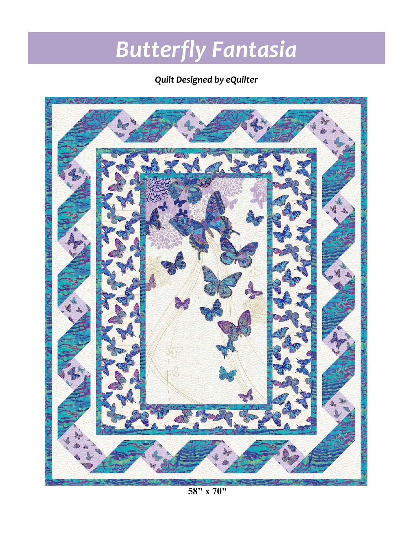# *Butterfly Fantasia*

### *Quilt Designed by eQuilter*



**58" x 70"**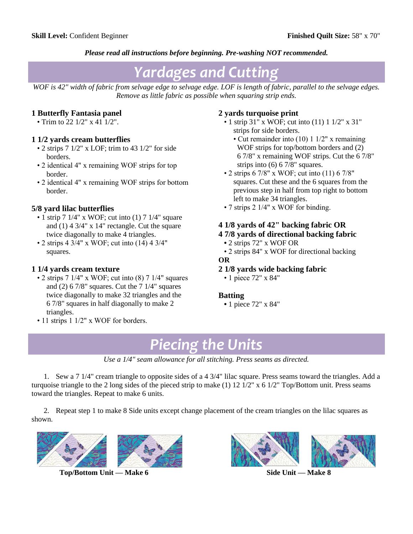#### *Please read all instructions before beginning. Pre-washing NOT recommended.*

## *Yardages and Cutting*

*WOF is 42" width of fabric from selvage edge to selvage edge. LOF is length of fabric, parallel to the selvage edges. Remove as little fabric as possible when squaring strip ends.*

#### **1 Butterfly Fantasia panel**

• Trim to 22 1/2" x 41 1/2".

#### **1 1/2 yards cream butterflies**

- 2 strips  $7 \frac{1}{2}$ " x LOF; trim to 43  $\frac{1}{2}$ " for side borders.
- 2 identical 4" x remaining WOF strips for top border.
- 2 identical 4" x remaining WOF strips for bottom border.

#### **5/8 yard lilac butterflies**

- 1 strip 7 1/4" x WOF; cut into (1) 7 1/4" square and (1) 4 3/4" x 14" rectangle. Cut the square twice diagonally to make 4 triangles.
- 2 strips 4 3/4" x WOF; cut into (14) 4 3/4" squares.

#### **1 1/4 yards cream texture**

- 2 strips  $7 \frac{1}{4}$ " x WOF; cut into  $(8) \frac{7 \frac{1}{4}}{3}$  squares and (2)  $67/8$ " squares. Cut the  $71/4$ " squares twice diagonally to make 32 triangles and the 6 7/8" squares in half diagonally to make 2 triangles.
- 11 strips 1 1/2" x WOF for borders.

#### **2 yards turquoise print**

- 1 strip 31" x WOF; cut into (11) 1 1/2" x 31" strips for side borders.
	- Cut remainder into (10) 1 1/2" x remaining WOF strips for top/bottom borders and (2) 6 7/8" x remaining WOF strips. Cut the 6 7/8" strips into (6) 6 7/8" squares.
- 2 strips  $6\frac{7}{8}$ " x WOF; cut into  $(11)$   $6\frac{7}{8}$ " squares. Cut these and the 6 squares from the previous step in half from top right to bottom left to make 34 triangles.
- 7 strips 2 1/4" x WOF for binding.

#### **4 1/8 yards of 42" backing fabric OR**

#### **4 7/8 yards of directional backing fabric**

- 2 strips 72" x WOF OR
- 2 strips 84" x WOF for directional backing

#### **OR**

- **2 1/8 yards wide backing fabric**
	- 1 piece 72" x 84"

#### **Batting**

 **•** 1 piece 72" x 84"

## *Piecing the Units*

*Use a 1/4" seam allowance for all stitching. Press seams as directed.*

1. Sew a 7 1/4" cream triangle to opposite sides of a 4 3/4" lilac square. Press seams toward the triangles. Add a turquoise triangle to the 2 long sides of the pieced strip to make (1) 12 1/2" x 6 1/2" Top/Bottom unit. Press seams toward the triangles. Repeat to make 6 units.

2. Repeat step 1 to make 8 Side units except change placement of the cream triangles on the lilac squares as shown.



 **Top/Bottom Unit — Make 6 Side Unit — Make 8**



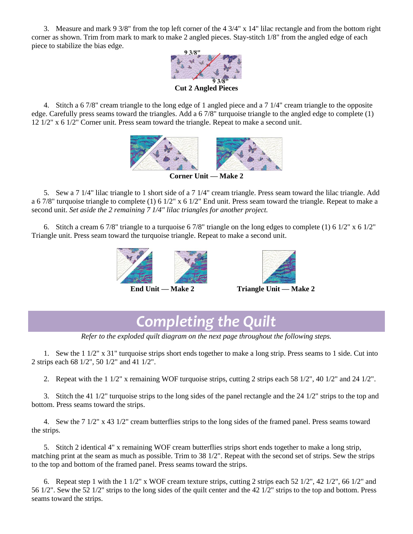3. Measure and mark 9 3/8" from the top left corner of the 4 3/4" x 14" lilac rectangle and from the bottom right corner as shown. Trim from mark to mark to make 2 angled pieces. Stay-stitch 1/8" from the angled edge of each piece to stabilize the bias edge.



**Cut 2 Angled Pieces**

4. Stitch a 6 7/8" cream triangle to the long edge of 1 angled piece and a 7 1/4" cream triangle to the opposite edge. Carefully press seams toward the triangles. Add a 6 7/8" turquoise triangle to the angled edge to complete (1) 12 1/2" x 6 1/2" Corner unit. Press seam toward the triangle. Repeat to make a second unit.



5. Sew a 7 1/4" lilac triangle to 1 short side of a 7 1/4" cream triangle. Press seam toward the lilac triangle. Add a 6 7/8" turquoise triangle to complete (1) 6  $1/2$ " x 6  $1/2$ " End unit. Press seam toward the triangle. Repeat to make a second unit. *Set aside the 2 remaining 7 1/4" lilac triangles for another project.*

6. Stitch a cream 6 7/8" triangle to a turquoise 6 7/8" triangle on the long edges to complete (1) 6  $1/2$ " x 6  $1/2$ " Triangle unit. Press seam toward the turquoise triangle. Repeat to make a second unit.





 **End Unit — Make 2 Triangle Unit — Make 2**

## *Completing the Quilt*

*Refer to the exploded quilt diagram on the next page throughout the following steps.*

1. Sew the 1 1/2" x 31" turquoise strips short ends together to make a long strip. Press seams to 1 side. Cut into 2 strips each 68 1/2", 50 1/2" and 41 1/2".

2. Repeat with the 1 1/2" x remaining WOF turquoise strips, cutting 2 strips each 58 1/2", 40 1/2" and 24 1/2".

3. Stitch the 41 1/2" turquoise strips to the long sides of the panel rectangle and the 24 1/2" strips to the top and bottom. Press seams toward the strips.

4. Sew the 7 1/2" x 43 1/2" cream butterflies strips to the long sides of the framed panel. Press seams toward the strips.

5. Stitch 2 identical 4" x remaining WOF cream butterflies strips short ends together to make a long strip, matching print at the seam as much as possible. Trim to 38 1/2". Repeat with the second set of strips. Sew the strips to the top and bottom of the framed panel. Press seams toward the strips.

6. Repeat step 1 with the 1  $1/2$ " x WOF cream texture strips, cutting 2 strips each 52  $1/2$ ", 42  $1/2$ ", 66  $1/2$ " and 56 1/2". Sew the 52 1/2" strips to the long sides of the quilt center and the 42 1/2" strips to the top and bottom. Press seams toward the strips.